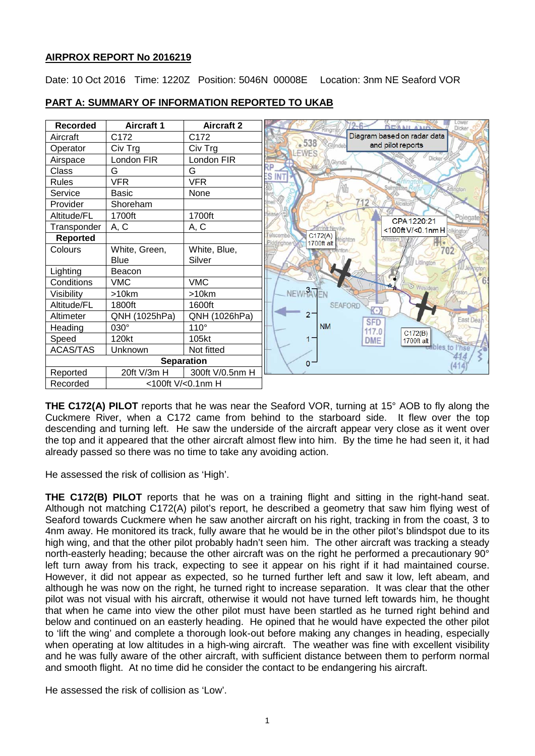## **AIRPROX REPORT No 2016219**

Date: 10 Oct 2016 Time: 1220Z Position: 5046N 00008E Location: 3nm NE Seaford VOR

| <b>Recorded</b>   | <b>Aircraft 1</b> | <b>Aircraft 2</b> | Lower<br><b>EAMI AMES</b><br>Dicker             |
|-------------------|-------------------|-------------------|-------------------------------------------------|
| Aircraft          | C172              | C <sub>172</sub>  | Diagram based on radar data                     |
| Operator          | Civ Trg           | Civ Trg           | $-538$<br>and pilot reports<br>Glyndeh<br>LEWES |
| Airspace          | London FIR        | London FIR        | Dicker<br>Glynde                                |
| Class             | G                 | G                 | RP<br>ΞS<br>IN                                  |
| <b>Rules</b>      | <b>VFR</b>        | <b>VFR</b>        |                                                 |
| Service           | <b>Basic</b>      | None              |                                                 |
| Provider          | Shoreham          |                   | 12<br>Alcisto                                   |
| Altitude/FL       | 1700ft            | 1700ft            | Polegate<br>CPA 1220:21                         |
| Transponder       | A, C              | A, C              | <100ft V/<0.1nm H olkington                     |
| Reported          |                   |                   | C172(A)<br>elscombe<br>1700ft alt<br>ddinghoe   |
| Colours           | White, Green,     | White, Blue,      | 702                                             |
|                   | Blue              | Silver            | Litlingto                                       |
| Lighting          | Beacon            |                   |                                                 |
| Conditions        | <b>VMC</b>        | <b>VMC</b>        | <b><i>O</i></b> Westdean                        |
| Visibility        | >10km             | >10km             | NEWHAVEN                                        |
| Altitude/FL       | 1800ft            | 1600ft            | <b>SEAFORD</b><br>$\sqrt{(\cdot)}$              |
| Altimeter         | QNH (1025hPa)     | QNH (1026hPa)     | $2 -$<br>East Deal<br><b>SFD</b>                |
| Heading           | $030^\circ$       | 110°              | <b>NM</b><br>117.0<br>C172(B)                   |
| Speed             | 120kt             | 105kt             | <b>DME</b><br>1700ft alt                        |
| <b>ACAS/TAS</b>   | Unknown           | Not fitted        | bles to l'hse                                   |
| <b>Separation</b> |                   |                   | $0 -$                                           |
| Reported          | 20ft V/3m H       | 300ft V/0.5nm H   |                                                 |
| Recorded          | <100ft V/<0.1nm H |                   |                                                 |

# **PART A: SUMMARY OF INFORMATION REPORTED TO UKAB**

**THE C172(A) PILOT** reports that he was near the Seaford VOR, turning at 15° AOB to fly along the Cuckmere River, when a C172 came from behind to the starboard side. It flew over the top descending and turning left. He saw the underside of the aircraft appear very close as it went over the top and it appeared that the other aircraft almost flew into him. By the time he had seen it, it had already passed so there was no time to take any avoiding action.

He assessed the risk of collision as 'High'.

**THE C172(B) PILOT** reports that he was on a training flight and sitting in the right-hand seat. Although not matching C172(A) pilot's report, he described a geometry that saw him flying west of Seaford towards Cuckmere when he saw another aircraft on his right, tracking in from the coast, 3 to 4nm away. He monitored its track, fully aware that he would be in the other pilot's blindspot due to its high wing, and that the other pilot probably hadn't seen him. The other aircraft was tracking a steady north-easterly heading; because the other aircraft was on the right he performed a precautionary 90° left turn away from his track, expecting to see it appear on his right if it had maintained course. However, it did not appear as expected, so he turned further left and saw it low, left abeam, and although he was now on the right, he turned right to increase separation. It was clear that the other pilot was not visual with his aircraft, otherwise it would not have turned left towards him, he thought that when he came into view the other pilot must have been startled as he turned right behind and below and continued on an easterly heading. He opined that he would have expected the other pilot to 'lift the wing' and complete a thorough look-out before making any changes in heading, especially when operating at low altitudes in a high-wing aircraft. The weather was fine with excellent visibility and he was fully aware of the other aircraft, with sufficient distance between them to perform normal and smooth flight. At no time did he consider the contact to be endangering his aircraft.

He assessed the risk of collision as 'Low'.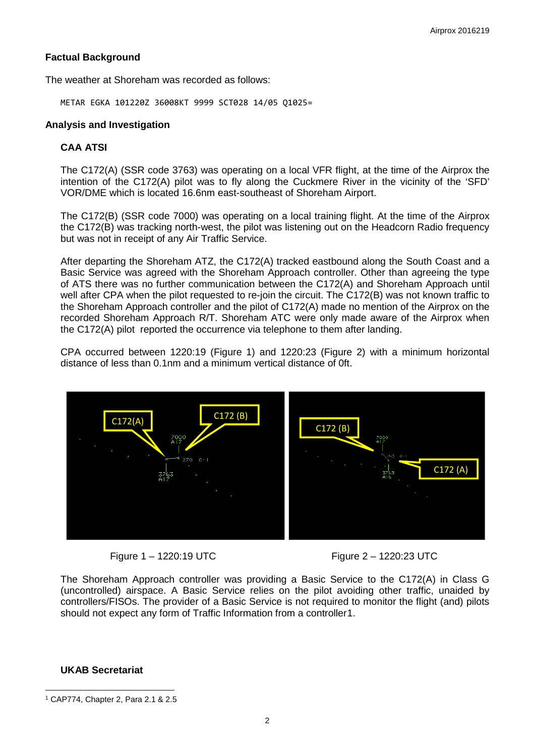# **Factual Background**

The weather at Shoreham was recorded as follows:

METAR EGKA 101220Z 36008KT 9999 SCT028 14/05 Q1025=

#### **Analysis and Investigation**

#### **CAA ATSI**

The C172(A) (SSR code 3763) was operating on a local VFR flight, at the time of the Airprox the intention of the C172(A) pilot was to fly along the Cuckmere River in the vicinity of the 'SFD' VOR/DME which is located 16.6nm east-southeast of Shoreham Airport.

The C172(B) (SSR code 7000) was operating on a local training flight. At the time of the Airprox the C172(B) was tracking north-west, the pilot was listening out on the Headcorn Radio frequency but was not in receipt of any Air Traffic Service.

After departing the Shoreham ATZ, the C172(A) tracked eastbound along the South Coast and a Basic Service was agreed with the Shoreham Approach controller. Other than agreeing the type of ATS there was no further communication between the C172(A) and Shoreham Approach until well after CPA when the pilot requested to re-join the circuit. The C172(B) was not known traffic to the Shoreham Approach controller and the pilot of C172(A) made no mention of the Airprox on the recorded Shoreham Approach R/T. Shoreham ATC were only made aware of the Airprox when the C172(A) pilot reported the occurrence via telephone to them after landing.

CPA occurred between 1220:19 (Figure 1) and 1220:23 (Figure 2) with a minimum horizontal distance of less than 0.1nm and a minimum vertical distance of 0ft.





The Shoreham Approach controller was providing a Basic Service to the C172(A) in Class G (uncontrolled) airspace. A Basic Service relies on the pilot avoiding other traffic, unaided by controllers/FISOs. The provider of a Basic Service is not required to monitor the flight (and) pilots should not expect any form of Traffic Information from a controller[1.](#page-1-0)

## **UKAB Secretariat**

 $\overline{\phantom{a}}$ 

<span id="page-1-0"></span><sup>1</sup> CAP774, Chapter 2, Para 2.1 & 2.5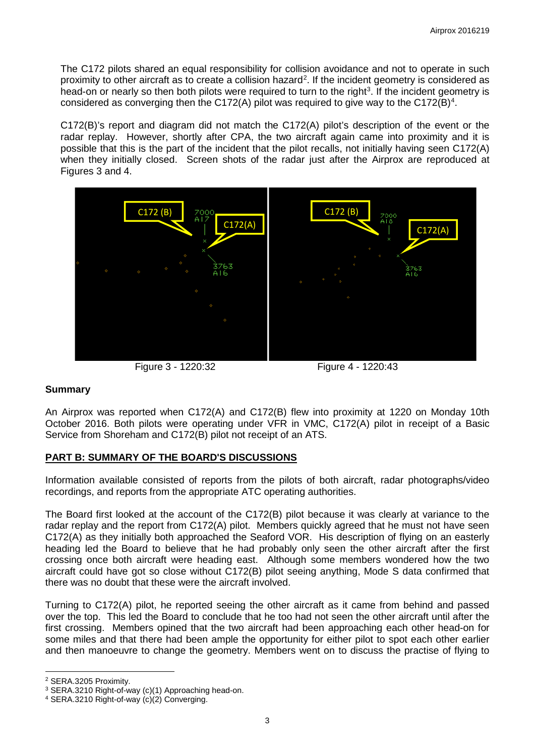The C172 pilots shared an equal responsibility for collision avoidance and not to operate in such proximity to other aircraft as to create a collision hazard<sup>[2](#page-2-0)</sup>. If the incident geometry is considered as head-on or nearly so then both pilots were required to turn to the right<sup>[3](#page-2-1)</sup>. If the incident geometry is considered as converging then the C172(A) pilot was required to give way to the C172(B)<sup>[4](#page-2-2)</sup>.

C172(B)'s report and diagram did not match the C172(A) pilot's description of the event or the radar replay. However, shortly after CPA, the two aircraft again came into proximity and it is possible that this is the part of the incident that the pilot recalls, not initially having seen C172(A) when they initially closed. Screen shots of the radar just after the Airprox are reproduced at Figures 3 and 4.



Figure 3 - 1220:32 Figure 4 - 1220:43

## **Summary**

An Airprox was reported when C172(A) and C172(B) flew into proximity at 1220 on Monday 10th October 2016. Both pilots were operating under VFR in VMC, C172(A) pilot in receipt of a Basic Service from Shoreham and C172(B) pilot not receipt of an ATS.

## **PART B: SUMMARY OF THE BOARD'S DISCUSSIONS**

Information available consisted of reports from the pilots of both aircraft, radar photographs/video recordings, and reports from the appropriate ATC operating authorities.

The Board first looked at the account of the C172(B) pilot because it was clearly at variance to the radar replay and the report from C172(A) pilot. Members quickly agreed that he must not have seen C172(A) as they initially both approached the Seaford VOR. His description of flying on an easterly heading led the Board to believe that he had probably only seen the other aircraft after the first crossing once both aircraft were heading east. Although some members wondered how the two aircraft could have got so close without C172(B) pilot seeing anything, Mode S data confirmed that there was no doubt that these were the aircraft involved.

Turning to C172(A) pilot, he reported seeing the other aircraft as it came from behind and passed over the top. This led the Board to conclude that he too had not seen the other aircraft until after the first crossing. Members opined that the two aircraft had been approaching each other head-on for some miles and that there had been ample the opportunity for either pilot to spot each other earlier and then manoeuvre to change the geometry. Members went on to discuss the practise of flying to

 $\overline{\phantom{a}}$ 

<span id="page-2-0"></span><sup>2</sup> SERA.3205 Proximity.

<span id="page-2-1"></span><sup>3</sup> SERA.3210 Right-of-way (c)(1) Approaching head-on.

<span id="page-2-2"></span><sup>4</sup> SERA.3210 Right-of-way (c)(2) Converging.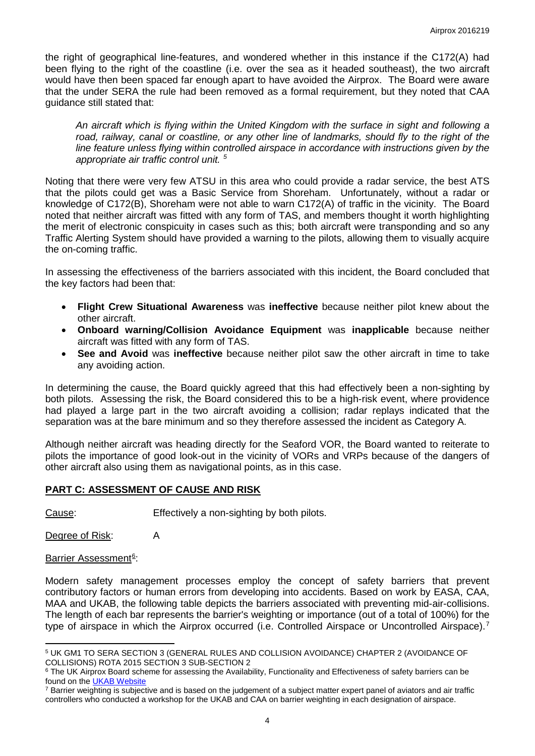the right of geographical line-features, and wondered whether in this instance if the C172(A) had been flying to the right of the coastline (i.e. over the sea as it headed southeast), the two aircraft would have then been spaced far enough apart to have avoided the Airprox. The Board were aware that the under SERA the rule had been removed as a formal requirement, but they noted that CAA guidance still stated that:

*An aircraft which is flying within the United Kingdom with the surface in sight and following a*  road, railway, canal or coastline, or any other line of landmarks, should fly to the right of the *line feature unless flying within controlled airspace in accordance with instructions given by the appropriate air traffic control unit. [5](#page-3-0)*

Noting that there were very few ATSU in this area who could provide a radar service, the best ATS that the pilots could get was a Basic Service from Shoreham. Unfortunately, without a radar or knowledge of C172(B), Shoreham were not able to warn C172(A) of traffic in the vicinity. The Board noted that neither aircraft was fitted with any form of TAS, and members thought it worth highlighting the merit of electronic conspicuity in cases such as this; both aircraft were transponding and so any Traffic Alerting System should have provided a warning to the pilots, allowing them to visually acquire the on-coming traffic.

In assessing the effectiveness of the barriers associated with this incident, the Board concluded that the key factors had been that:

- **Flight Crew Situational Awareness** was **ineffective** because neither pilot knew about the other aircraft.
- **Onboard warning/Collision Avoidance Equipment** was **inapplicable** because neither aircraft was fitted with any form of TAS.
- **See and Avoid** was **ineffective** because neither pilot saw the other aircraft in time to take any avoiding action.

In determining the cause, the Board quickly agreed that this had effectively been a non-sighting by both pilots. Assessing the risk, the Board considered this to be a high-risk event, where providence had played a large part in the two aircraft avoiding a collision; radar replays indicated that the separation was at the bare minimum and so they therefore assessed the incident as Category A.

Although neither aircraft was heading directly for the Seaford VOR, the Board wanted to reiterate to pilots the importance of good look-out in the vicinity of VORs and VRPs because of the dangers of other aircraft also using them as navigational points, as in this case.

## **PART C: ASSESSMENT OF CAUSE AND RISK**

Cause: Effectively a non-sighting by both pilots.

Degree of Risk: A

# Barrier Assessment<sup>[6](#page-3-1)</sup>:

 $\overline{\phantom{a}}$ 

Modern safety management processes employ the concept of safety barriers that prevent contributory factors or human errors from developing into accidents. Based on work by EASA, CAA, MAA and UKAB, the following table depicts the barriers associated with preventing mid-air-collisions. The length of each bar represents the barrier's weighting or importance (out of a total of 100%) for the type of airspace in which the Airprox occurred (i.e. Controlled Airspace or Uncontrolled Airspace).<sup>[7](#page-3-2)</sup>

<span id="page-3-0"></span><sup>5</sup> UK GM1 TO SERA SECTION 3 (GENERAL RULES AND COLLISION AVOIDANCE) CHAPTER 2 (AVOIDANCE OF COLLISIONS) ROTA 2015 SECTION 3 SUB-SECTION 2

<span id="page-3-1"></span><sup>&</sup>lt;sup>6</sup> The UK Airprox Board scheme for assessing the Availability, Functionality and Effectiveness of safety barriers can be found on the [UKAB Website](http://www.airproxboard.org.uk/Learn-more/Airprox-Barrier-Assessment/)

<span id="page-3-2"></span> $7$  Barrier weighting is subjective and is based on the judgement of a subject matter expert panel of aviators and air traffic controllers who conducted a workshop for the UKAB and CAA on barrier weighting in each designation of airspace.